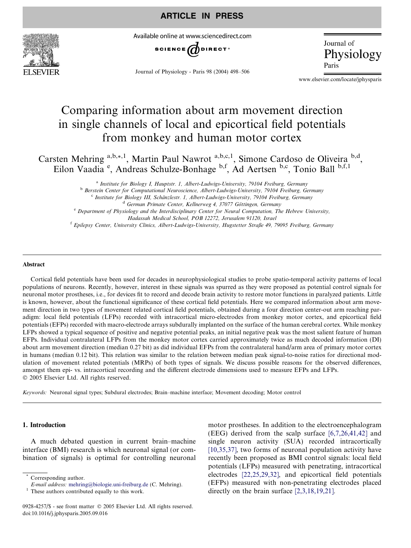

Available online at www.sciencedirect.com



Journal of Physiology - Paris 98 (2004) 498–506

Journal of Physiology

www.elsevier.com/locate/jphysparis

# Comparing information about arm movement direction in single channels of local and epicortical field potentials from monkey and human motor cortex

Carsten Mehring a,b,\*,1, Martin Paul Nawrot a,b,c,1, Simone Cardoso de Oliveira <sup>b,d</sup>, Eilon Vaadia<sup>e</sup>, Andreas Schulze-Bonhage b,f, Ad Aertsen b,c, Tonio Ball b,f,1

> <sup>a</sup> Institute for Biology I, Hauptstr. 1, Albert-Ludwigs-University, 79104 Freiburg, Germany b Berstein Center for Computational Neuroscience, Albert-Ludwigs-University, 79104 Freiburg, Germany<br>
> <sup>C</sup> Institute for Biology III, Schänzlestr. 1, Albert-Ludwigs-University, 79104 Freiburg, Germany <sup>d</sup> German Primate Center, Kellnerweg 4, 37077 Göttingen, Germany<br><sup>e</sup> Department of Physiology and the Interdisciplinary Center for Neural Computation, The Hebrew University,

Hadassah Medical School, POB 12272, Jerusalem 91120, Israel

<sup>f</sup> Epilepsy Center, University Clinics, Albert-Ludwigs-University, Hugstetter Straße 49, 79095 Freiburg, Germany

#### Abstract

Cortical field potentials have been used for decades in neurophysiological studies to probe spatio-temporal activity patterns of local populations of neurons. Recently, however, interest in these signals was spurred as they were proposed as potential control signals for neuronal motor prostheses, i.e., for devices fit to record and decode brain activity to restore motor functions in paralyzed patients. Little is known, however, about the functional significance of these cortical field potentials. Here we compared information about arm movement direction in two types of movement related cortical field potentials, obtained during a four direction center-out arm reaching paradigm: local field potentials (LFPs) recorded with intracortical micro-electrodes from monkey motor cortex, and epicortical field potentials (EFPs) recorded with macro-electrode arrays subdurally implanted on the surface of the human cerebral cortex. While monkey LFPs showed a typical sequence of positive and negative potential peaks, an initial negative peak was the most salient feature of human EFPs. Individual contralateral LFPs from the monkey motor cortex carried approximately twice as much decoded information (DI) about arm movement direction (median 0.27 bit) as did individual EFPs from the contralateral hand/arm area of primary motor cortex in humans (median 0.12 bit). This relation was similar to the relation between median peak signal-to-noise ratios for directional modulation of movement related potentials (MRPs) of both types of signals. We discuss possible reasons for the observed differences, amongst them epi- vs. intracortical recording and the different electrode dimensions used to measure EFPs and LFPs. 2005 Elsevier Ltd. All rights reserved.

Keywords: Neuronal signal types; Subdural electrodes; Brain–machine interface; Movement decoding; Motor control

# 1. Introduction

A much debated question in current brain–machine interface (BMI) research is which neuronal signal (or combination of signals) is optimal for controlling neuronal motor prostheses. In addition to the electroencephalogram (EEG) derived from the scalp surface [\[6,7,26,41,42\]](#page-7-0) and single neuron activity (SUA) recorded intracortically [\[10,35,37\]](#page-7-0), two forms of neuronal population activity have recently been proposed as BMI control signals: local field potentials (LFPs) measured with penetrating, intracortical electrodes [\[22,25,29,32\],](#page-8-0) and epicortical field potentials (EFPs) measured with non-penetrating electrodes placed directly on the brain surface [\[2,3,18,19,21\]](#page-7-0).

Corresponding author.

E-mail address: [mehring@biologie.uni-freiburg.de](mailto:mehring@biologie.uni-freiburg.de) (C. Mehring).  $1$  These authors contributed equally to this work.

<sup>0928-4257/\$ -</sup> see front matter © 2005 Elsevier Ltd. All rights reserved. doi:10.1016/j.jphysparis.2005.09.016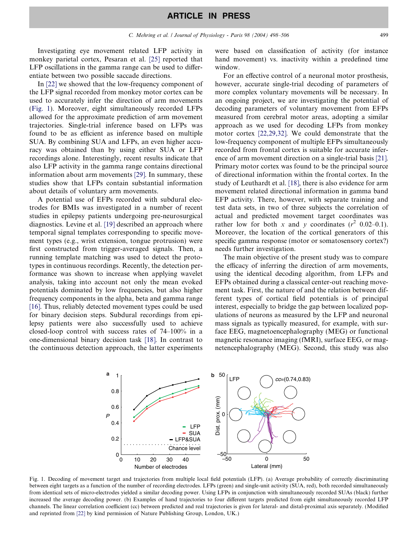Investigating eye movement related LFP activity in monkey parietal cortex, Pesaran et al. [\[25\]](#page-8-0) reported that LFP oscillations in the gamma range can be used to differentiate between two possible saccade directions.

In [\[22\]](#page-8-0) we showed that the low-frequency component of the LFP signal recorded from monkey motor cortex can be used to accurately infer the direction of arm movements (Fig. 1). Moreover, eight simultaneously recorded LFPs allowed for the approximate prediction of arm movement trajectories. Single-trial inference based on LFPs was found to be as efficient as inference based on multiple SUA. By combining SUA and LFPs, an even higher accuracy was obtained than by using either SUA or LFP recordings alone. Interestingly, recent results indicate that also LFP activity in the gamma range contains directional information about arm movements [\[29\].](#page-8-0) In summary, these studies show that LFPs contain substantial information about details of voluntary arm movements.

A potential use of EFPs recorded with subdural electrodes for BMIs was investigated in a number of recent studies in epilepsy patients undergoing pre-neurosurgical diagnostics. Levine et al. [\[19\]](#page-8-0) described an approach where temporal signal templates corresponding to specific movement types (e.g., wrist extension, tongue protrusion) were first constructed from trigger-averaged signals. Then, a running template matching was used to detect the prototypes in continuous recordings. Recently, the detection performance was shown to increase when applying wavelet analysis, taking into account not only the mean evoked potentials dominated by low frequencies, but also higher frequency components in the alpha, beta and gamma range [\[16\].](#page-7-0) Thus, reliably detected movement types could be used for binary decision steps. Subdural recordings from epilepsy patients were also successfully used to achieve closed-loop control with success rates of 74–100% in a one-dimensional binary decision task [\[18\]](#page-7-0). In contrast to the continuous detection approach, the latter experiments

were based on classification of activity (for instance hand movement) vs. inactivity within a predefined time window.

For an effective control of a neuronal motor prosthesis, however, accurate single-trial decoding of parameters of more complex voluntary movements will be necessary. In an ongoing project, we are investigating the potential of decoding parameters of voluntary movement from EFPs measured from cerebral motor areas, adopting a similar approach as we used for decoding LFPs from monkey motor cortex [\[22,29,32\].](#page-8-0) We could demonstrate that the low-frequency component of multiple EFPs simultaneously recorded from frontal cortex is suitable for accurate inference of arm movement direction on a single-trial basis [\[21\].](#page-8-0) Primary motor cortex was found to be the principal source of directional information within the frontal cortex. In the study of Leuthardt et al. [\[18\]](#page-7-0), there is also evidence for arm movement related directional information in gamma band EFP activity. There, however, with separate training and test data sets, in two of three subjects the correlation of actual and predicted movement target coordinates was rather low for both x and y coordinates  $(r^2 \ 0.02-0.1)$ . Moreover, the location of the cortical generators of this specific gamma response (motor or somatosensory cortex?) needs further investigation.

The main objective of the present study was to compare the efficacy of inferring the direction of arm movements, using the identical decoding algorithm, from LFPs and EFPs obtained during a classical center-out reaching movement task. First, the nature of and the relation between different types of cortical field potentials is of principal interest, especially to bridge the gap between localized populations of neurons as measured by the LFP and neuronal mass signals as typically measured, for example, with surface EEG, magnetoencephalography (MEG) or functional magnetic resonance imaging (fMRI), surface EEG, or magnetencephalography (MEG). Second, this study was also



Fig. 1. Decoding of movement target and trajectories from multiple local field potentials (LFP). (a) Average probability of correctly discriminating between eight targets as a function of the number of recording electrodes. LFPs (green) and single-unit activity (SUA, red), both recorded simultaneously from identical sets of micro-electrodes yielded a similar decoding power. Using LFPs in conjunction with simultaneously recorded SUAs (black) further increased the average decoding power. (b) Examples of hand trajectories to four different targets predicted from eight simultaneously recorded LFP channels. The linear correlation coefficient (cc) between predicted and real trajectories is given for lateral- and distal-proximal axis separately. (Modified and reprinted from [\[22\]](#page-8-0) by kind permission of Nature Publishing Group, London, UK.)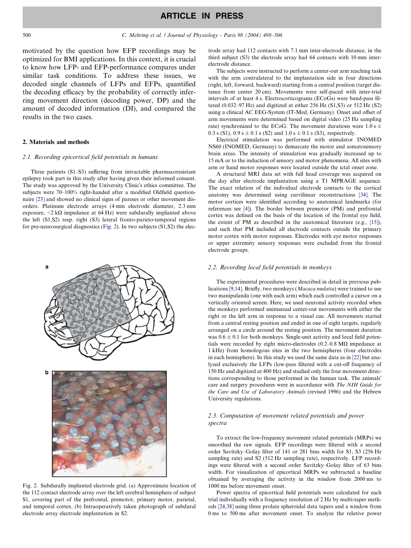# ARTICLE IN PRESS

<span id="page-2-0"></span>motivated by the question how EFP recordings may be optimized for BMI applications. In this context, it is crucial to know how LFP- and EFP-performance compares under similar task conditions. To address these issues, we decoded single channels of LFPs and EFPs, quantified the decoding efficacy by the probability of correctly inferring movement direction (decoding power, DP) and the amount of decoded information (DI), and compared the results in the two cases.

#### 2. Materials and methods

#### 2.1. Recording epicortical field potentials in humans

Three patients (S1–S3) suffering from intractable pharmacoresistant epilepsy took part in this study after having given their informed consent. The study was approved by the University Clinic's ethics committee. The subjects were 70–100% right-handed after a modified Oldfield questionnaire [\[23\]](#page-8-0) and showed no clinical signs of pareses or other movement disorders. Platinum electrode arrays (4 mm electrode diameter, 2.3 mm exposure,  $\langle 2 \kappa \Omega \rangle$  impedance at 64 Hz) were subdurally implanted above the left (S1,S2) resp. right (S3) lateral fronto-parieto-temporal regions for pre-neurosurgical diagnostics (Fig. 2). In two subjects (S1,S2) the elec-



Fig. 2. Subdurally implanted electrode grid. (a) Approximate location of the 112 contact electrode array over the left cerebral hemisphere of subject S1, covering part of the prefrontal, premotor, primary motor, parietal, and temporal cortex. (b) Intraoperatively taken photograph of subdural electrode array electrode implantation in S2.

trode array had 112 contacts with 7.1 mm inter-electrode distance, in the third subject (S3) the electrode array had 64 contacts with 10 mm interelectrode distance.

The subjects were instructed to perform a center-out arm reaching task with the arm contralateral to the implantation side in four directions (right, left, forward, backward) starting from a central position (target distance from center 20 cm). Movements were self-paced with inter-trial intervals of at least 4 s. Electrocorticograms (ECoGs) were band-pass filtered (0.032–97 Hz) and digitized at either 256 Hz (S1,S3) or 512 Hz (S2) using a clinical AC EEG-System (IT-Med, Germany). Onset and offset of arm movements were determined based on digital video (25 Hz sampling rate) synchronized to the ECoG. The movement durations were  $1.0 s \pm 1.0 s$ 0.3 s (S1), 0.9 s  $\pm$  0.1 s (S2) and 1.0 s  $\pm$  0.1 s (S3), respectively.

Electrical stimulation was performed with stimulator INOMED NS60 (INOMED, Germany) to demarcate the motor and somatosensory brain areas. The intensity of stimulation was gradually increased up to 15 mA or to the induction of sensory and motor phenomena. All sites with arm or hand motor responses were located outside the ictal onset zone.

A structural MRI data set with full head coverage was acquired on the day after electrode implantation using a T1 MPRAGE sequence. The exact relation of the individual electrode contacts to the cortical anatomy was determined using curvilinear reconstructions [\[34\]](#page-8-0). The motor cortices were identified according to anatomical landmarks (for references see [\[4\]](#page-7-0)). The border between premotor (PM) and prefrontal cortex was defined on the basis of the location of the frontal eye field, the extent of PM as described in the anatomical literature (e.g., [\[15\]\)](#page-7-0), and such that PM included all electrode contacts outside the primary motor cortex with motor responses. Electrodes with eye motor responses or upper extremity sensory responses were excluded from the frontal electrode groups.

### 2.2. Recording local field potentials in monkeys

The experimental procedures were described in detail in previous publications [\[9,14\]](#page-7-0). Briefly, two monkeys (Macaca mulatta) were trained to use two manipulanda (one with each arm) which each controlled a cursor on a vertically oriented screen. Here, we used neuronal activity recorded when the monkeys performed unimanual center-out movements with either the right or the left arm in response to a visual cue. All movements started from a central resting position and ended in one of eight targets, regularly arranged on a circle around the resting position. The movement duration was  $0.6 \pm 0.1$  for both monkeys. Single-unit activity and local field potentials were recorded by eight micro-electrodes  $(0.2-0.8 \text{ M}\Omega)$  impedance at 1 kHz) from homologous sites in the two hemispheres (four electrodes in each hemisphere). In this study we used the same data as in [\[22\]](#page-8-0) but analyzed exclusively the LFPs (low-pass filtered with a cut-off frequency of 150 Hz and digitized at 400 Hz) and studied only the four movement directions corresponding to those performed in the human task. The animals care and surgery procedures were in accordance with The NIH Guide for the Care and Use of Laboratory Animals (revised 1996) and the Hebrew University regulations.

# 2.3. Computation of movement related potentials and power spectra

To extract the low-frequency movement related potentials (MRPs) we smoothed the raw signals. EFP recordings were filtered with a second order Savitzky–Golay filter of 141 or 281 bins width for S1, S3 (256 Hz sampling rate) and S2 (512 Hz sampling rate), respectively. LFP recordings were filtered with a second order Savitzky–Golay filter of 63 bins width. For visualization of epicortical MRPs we subtracted a baseline obtained by averaging the activity in the window from 2000 ms to 1000 ms before movement onset.

Power spectra of epicortical field potentials were calculated for each trial individually with a frequency resolution of 2 Hz by multi-taper methods [\[24,38\]](#page-8-0) using three prolate spheroidal data tapers and a window from 0 ms to 500 ms after movement onset. To analyze the relative power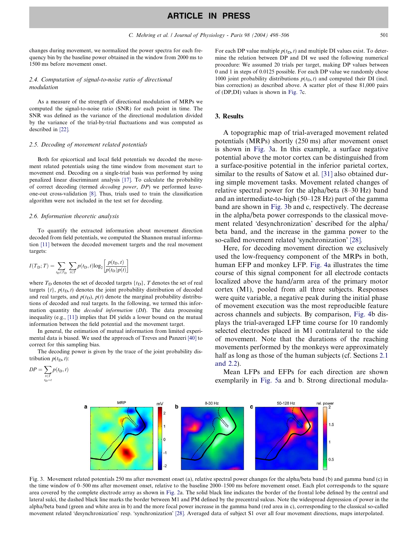<span id="page-3-0"></span>changes during movement, we normalized the power spectra for each frequency bin by the baseline power obtained in the window from 2000 ms to 1500 ms before movement onset.

### 2.4. Computation of signal-to-noise ratio of directional modulation

As a measure of the strength of directional modulation of MRPs we computed the signal-to-noise ratio (SNR) for each point in time. The SNR was defined as the variance of the directional modulation divided by the variance of the trial-by-trial fluctuations and was computed as described in [\[22\]](#page-8-0).

#### 2.5. Decoding of movement related potentials

Both for epicortical and local field potentials we decoded the movement related potentials using the time window from movement start to movement end. Decoding on a single-trial basis was performed by using penalized linear discriminant analysis [\[17\]](#page-7-0). To calculate the probability of correct decoding (termed decoding power, DP) we performed leaveone-out cross-validation [\[8\]](#page-7-0). Thus, trials used to train the classification algorithm were not included in the test set for decoding.

#### 2.6. Information theoretic analysis

To quantify the extracted information about movement direction decoded from field potentials, we computed the Shannon mutual information [\[11\]](#page-7-0) between the decoded movement targets and the real movement targets:

$$
I(T_{\rm D}; T) = \sum_{t_{\rm D} \in T_{\rm D}} \sum_{t \in T} p(t_{\rm D}, t) \log_2 \left[ \frac{p(t_{\rm D}, t)}{p(t_{\rm D}) p(t)} \right]
$$

where  $T_D$  denotes the set of decoded targets  $\{t_D\}$ , T denotes the set of real targets  $\{t\}$ ,  $p(t_D, t)$  denotes the joint probability distribution of decoded and real targets, and  $p(t_D)$ ,  $p(t)$  denote the marginal probability distributions of decoded and real targets. In the following, we termed this information quantity the decoded information (DI). The data processing inequality (e.g., [\[11\]](#page-7-0)) implies that DI yields a lower bound on the mutual information between the field potential and the movement target.

In general, the estimation of mutual information from limited experimental data is biased. We used the approach of Treves and Panzeri [\[40\]](#page-8-0) to correct for this sampling bias.

The decoding power is given by the trace of the joint probability distribution  $p(t_D, t)$ :

$$
DP = \sum_{\substack{t \in T \\ t_{\text{D}} = t}} p(t_{\text{D}}, t)
$$

For each DP value multiple  $p(t_D, t)$  and multiple DI values exist. To determine the relation between DP and DI we used the following numerical procedure: We assumed 20 trials per target, making DP values between 0 and 1 in steps of 0.0125 possible. For each DP value we randomly chose 1000 joint probability distributions  $p(t_D, t)$  and computed their DI (incl. bias correction) as described above. A scatter plot of these 81,000 pairs of (DP,DI) values is shown in [Fig. 7c](#page-5-0).

#### 3. Results

A topographic map of trial-averaged movement related potentials (MRPs) shortly (250 ms) after movement onset is shown in Fig. 3a. In this example, a surface negative potential above the motor cortex can be distinguished from a surface-positive potential in the inferior parietal cortex, similar to the results of Satow et al. [\[31\]](#page-8-0) also obtained during simple movement tasks. Movement related changes of relative spectral power for the alpha/beta (8–30 Hz) band and an intermediate-to-high (50–128 Hz) part of the gamma band are shown in Fig. 3b and c, respectively. The decrease in the alpha/beta power corresponds to the classical movement related 'desynchronization' described for the alpha/ beta band, and the increase in the gamma power to the so-called movement related 'synchronization' [\[28\]](#page-8-0).

Here, for decoding movement direction we exclusively used the low-frequency component of the MRPs in both, human EFP and monkey LFP. [Fig. 4a](#page-4-0) illustrates the time course of this signal component for all electrode contacts localized above the hand/arm area of the primary motor cortex (M1), pooled from all three subjects. Responses were quite variable, a negative peak during the initial phase of movement execution was the most reproducible feature across channels and subjects. By comparison, [Fig. 4](#page-4-0)b displays the trial-averaged LFP time course for 10 randomly selected electrodes placed in M1 contralateral to the side of movement. Note that the durations of the reaching movements performed by the monkeys were approximately half as long as those of the human subjects (cf. Sections [2.1](#page-2-0)) [and 2.2\)](#page-2-0).

Mean LFPs and EFPs for each direction are shown exemplarily in [Fig. 5](#page-4-0)a and b. Strong directional modula-



Fig. 3. Movement related potentials 250 ms after movement onset (a), relative spectral power changes for the alpha/beta band (b) and gamma band (c) in the time window of 0–500 ms after movement onset, relative to the baseline 2000–1500 ms before movement onset. Each plot corresponds to the square area covered by the complete electrode array as shown in [Fig. 2a](#page-2-0). The solid black line indicates the border of the frontal lobe defined by the central and lateral sulci, the dashed black line marks the border between M1 and PM defined by the precentral sulcus. Note the widespread depression of power in the alpha/beta band (green and white area in b) and the more focal power increase in the gamma band (red area in c), corresponding to the classical so-called movement related 'desynchronization' resp. 'synchronization' [\[28\]](#page-8-0). Averaged data of subject S1 over all four movement directions, maps interpolated.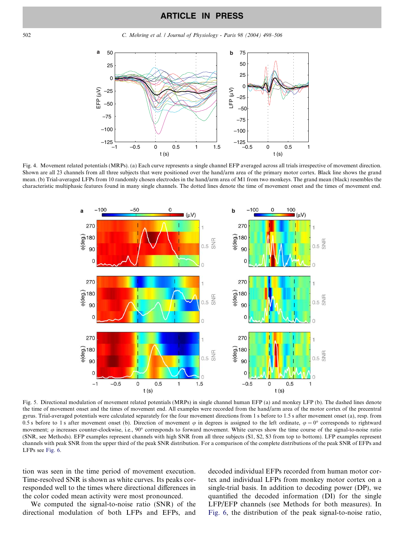<span id="page-4-0"></span>502 C. Mehring et al. / Journal of Physiology - Paris 98 (2004) 498–506



Fig. 4. Movement related potentials (MRPs). (a) Each curve represents a single channel EFP averaged across all trials irrespective of movement direction. Shown are all 23 channels from all three subjects that were positioned over the hand/arm area of the primary motor cortex. Black line shows the grand mean. (b) Trial-averaged LFPs from 10 randomly chosen electrodes in the hand/arm area of M1 from two monkeys. The grand mean (black) resembles the characteristic multiphasic features found in many single channels. The dotted lines denote the time of movement onset and the times of movement end.



Fig. 5. Directional modulation of movement related potentials (MRPs) in single channel human EFP (a) and monkey LFP (b). The dashed lines denote the time of movement onset and the times of movement end. All examples were recorded from the hand/arm area of the motor cortex of the precentral gyrus. Trial-averaged potentials were calculated separately for the four movement directions from 1 s before to 1.5 s after movement onset (a), resp. from 0.5 s before to 1 s after movement onset (b). Direction of movement  $\varphi$  in degrees is assigned to the left ordinate,  $\varphi = 0^{\circ}$  corresponds to rightward movement;  $\varphi$  increases counter-clockwise, i.e., 90° corresponds to forward movement. White curves show the time course of the signal-to-noise ratio (SNR, see Methods). EFP examples represent channels with high SNR from all three subjects (S1, S2, S3 from top to bottom). LFP examples represent channels with peak SNR from the upper third of the peak SNR distribution. For a comparison of the complete distributions of the peak SNR of EFPs and LFPs see [Fig. 6.](#page-5-0)

tion was seen in the time period of movement execution. Time-resolved SNR is shown as white curves. Its peaks corresponded well to the times where directional differences in the color coded mean activity were most pronounced.

We computed the signal-to-noise ratio (SNR) of the directional modulation of both LFPs and EFPs, and decoded individual EFPs recorded from human motor cortex and individual LFPs from monkey motor cortex on a single-trial basis. In addition to decoding power (DP), we quantified the decoded information (DI) for the single LFP/EFP channels (see Methods for both measures). In [Fig. 6](#page-5-0), the distribution of the peak signal-to-noise ratio,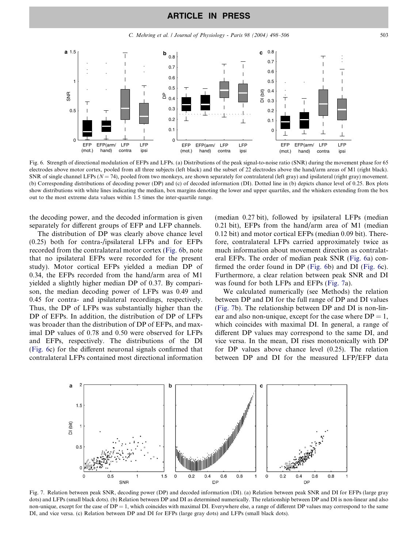# ARTICLE IN PRESS

C. Mehring et al. / Journal of Physiology - Paris 98 (2004) 498–506 503

<span id="page-5-0"></span>

Fig. 6. Strength of directional modulation of EFPs and LFPs. (a) Distributions of the peak signal-to-noise ratio (SNR) during the movement phase for 65 electrodes above motor cortex, pooled from all three subjects (left black) and the subset of 22 electrodes above the hand/arm areas of M1 (right black). SNR of single channel LFPs ( $N = 74$ ), pooled from two monkeys, are shown separately for contralateral (left gray) and ipsilateral (right gray) movement. (b) Corresponding distributions of decoding power (DP) and (c) of decoded information (DI). Dotted line in (b) depicts chance level of 0.25. Box plots show distributions with white lines indicating the median, box margins denoting the lower and upper quartiles, and the whiskers extending from the box out to the most extreme data values within 1.5 times the inter-quartile range.

the decoding power, and the decoded information is given separately for different groups of EFP and LFP channels.

The distribution of DP was clearly above chance level (0.25) both for contra-/ipsilateral LFPs and for EFPs recorded from the contralateral motor cortex (Fig. 6b, note that no ipsilateral EFPs were recorded for the present study). Motor cortical EFPs yielded a median DP of 0.34, the EFPs recorded from the hand/arm area of M1 yielded a slightly higher median DP of 0.37. By comparison, the median decoding power of LFPs was 0.49 and 0.45 for contra- and ipsilateral recordings, respectively. Thus, the DP of LFPs was substantially higher than the DP of EFPs. In addition, the distribution of DP of LFPs was broader than the distribution of DP of EFPs, and maximal DP values of 0.78 and 0.50 were observed for LFPs and EFPs, respectively. The distributions of the DI (Fig. 6c) for the different neuronal signals confirmed that contralateral LFPs contained most directional information

(median 0.27 bit), followed by ipsilateral LFPs (median 0.21 bit), EFPs from the hand/arm area of M1 (median 0.12 bit) and motor cortical EFPs (median 0.09 bit). Therefore, contralateral LFPs carried approximately twice as much information about movement direction as contralateral EFPs. The order of median peak SNR (Fig. 6a) confirmed the order found in DP (Fig. 6b) and DI (Fig. 6c). Furthermore, a clear relation between peak SNR and DI was found for both LFPs and EFPs (Fig. 7a).

We calculated numerically (see Methods) the relation between DP and DI for the full range of DP and DI values (Fig. 7b). The relationship between DP and DI is non-linear and also non-unique, except for the case where  $DP = 1$ , which coincides with maximal DI. In general, a range of different DP values may correspond to the same DI, and vice versa. In the mean, DI rises monotonically with DP for DP values above chance level (0.25). The relation between DP and DI for the measured LFP/EFP data



Fig. 7. Relation between peak SNR, decoding power (DP) and decoded information (DI). (a) Relation between peak SNR and DI for EFPs (large gray dots) and LFPs (small black dots). (b) Relation between DP and DI as determined numerically. The relationship between DP and DI is non-linear and also non-unique, except for the case of  $DP = 1$ , which coincides with maximal DI. Everywhere else, a range of different DP values may correspond to the same DI, and vice versa. (c) Relation between DP and DI for EFPs (large gray dots) and LFPs (small black dots).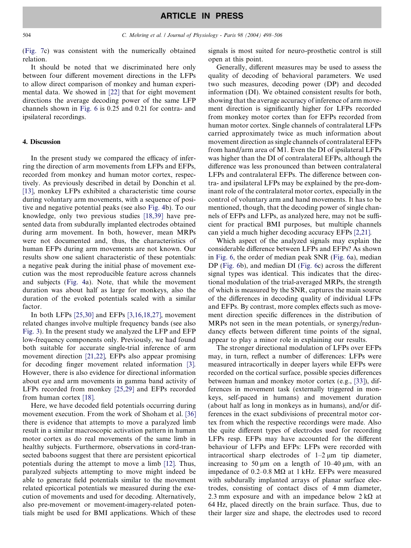[\(Fig. 7c](#page-5-0)) was consistent with the numerically obtained relation.

It should be noted that we discriminated here only between four different movement directions in the LFPs to allow direct comparison of monkey and human experimental data. We showed in [\[22\]](#page-8-0) that for eight movement directions the average decoding power of the same LFP channels shown in [Fig. 6](#page-5-0) is 0.25 and 0.21 for contra- and ipsilateral recordings.

# 4. Discussion

In the present study we compared the efficacy of inferring the direction of arm movements from LFPs and EFPs, recorded from monkey and human motor cortex, respectively. As previously described in detail by Donchin et al. [\[13\]](#page-7-0), monkey LFPs exhibited a characteristic time course during voluntary arm movements, with a sequence of positive and negative potential peaks (see also [Fig. 4](#page-4-0)b). To our knowledge, only two previous studies [\[18,39\]](#page-7-0) have presented data from subdurally implanted electrodes obtained during arm movement. In both, however, mean MRPs were not documented and, thus, the characteristics of human EFPs during arm movements are not known. Our results show one salient characteristic of these potentials: a negative peak during the initial phase of movement execution was the most reproducible feature across channels and subjects [\(Fig. 4a](#page-4-0)). Note, that while the movement duration was about half as large for monkeys, also the duration of the evoked potentials scaled with a similar factor.

In both LFPs [\[25,30\]](#page-8-0) and EFPs [\[3,16,18,27\]](#page-7-0), movement related changes involve multiple frequency bands (see also [Fig. 3](#page-3-0)). In the present study we analyzed the LFP and EFP low-frequency components only. Previously, we had found both suitable for accurate single-trial inference of arm movement direction [\[21,22\],](#page-8-0) EFPs also appear promising for decoding finger movement related information [\[3\]](#page-7-0). However, there is also evidence for directional information about eye and arm movements in gamma band activity of LFPs recorded from monkey [\[25,29\]](#page-8-0) and EFPs recorded from human cortex [\[18\]](#page-7-0).

Here, we have decoded field potentials occurring during movement execution. From the work of Shoham et al. [\[36\]](#page-8-0) there is evidence that attempts to move a paralyzed limb result in a similar macroscopic activation pattern in human motor cortex as do real movements of the same limb in healthy subjects. Furthermore, observations in cord-transected baboons suggest that there are persistent epicortical potentials during the attempt to move a limb [\[12\].](#page-7-0) Thus, paralyzed subjects attempting to move might indeed be able to generate field potentials similar to the movement related epicortical potentials we measured during the execution of movements and used for decoding. Alternatively, also pre-movement or movement-imagery-related potentials might be used for BMI applications. Which of these

signals is most suited for neuro-prosthetic control is still open at this point.

Generally, different measures may be used to assess the quality of decoding of behavioral parameters. We used two such measures, decoding power (DP) and decoded information (DI). We obtained consistent results for both, showing that the average accuracy of inference of arm movement direction is significantly higher for LFPs recorded from monkey motor cortex than for EFPs recorded from human motor cortex. Single channels of contralateral LFPs carried approximately twice as much information about movement direction as single channels of contralateral EFPs from hand/arm area of M1. Even the DI of ipsilateral LFPs was higher than the DI of contralateral EFPs, although the difference was less pronounced than between contralateral LFPs and contralateral EFPs. The difference between contra- and ipsilateral LFPs may be explained by the pre-dominant role of the contralateral motor cortex, especially in the control of voluntary arm and hand movements. It has to be mentioned, though, that the decoding power of single channels of EFPs and LFPs, as analyzed here, may not be sufficient for practical BMI purposes, but multiple channels can yield a much higher decoding accuracy EFPs [\[2,21\]](#page-7-0).

Which aspect of the analyzed signals may explain the considerable difference between LFPs and EFPs? As shown in [Fig. 6,](#page-5-0) the order of median peak SNR ([Fig. 6a](#page-5-0)), median DP ([Fig. 6b](#page-5-0)), and median DI [\(Fig. 6c](#page-5-0)) across the different signal types was identical. This indicates that the directional modulation of the trial-averaged MRPs, the strength of which is measured by the SNR, captures the main source of the differences in decoding quality of individual LFPs and EFPs. By contrast, more complex effects such as movement direction specific differences in the distribution of MRPs not seen in the mean potentials, or synergy/redundancy effects between different time points of the signal, appear to play a minor role in explaining our results.

The stronger directional modulation of LFPs over EFPs may, in turn, reflect a number of differences: LFPs were measured intracortically in deeper layers while EFPs were recorded on the cortical surface, possible species differences between human and monkey motor cortex (e.g., [\[33\]\)](#page-8-0), differences in movement task (externally triggered in monkeys, self-paced in humans) and movement duration (about half as long in monkeys as in humans), and/or differences in the exact subdivisions of precentral motor cortex from which the respective recordings were made. Also the quite different types of electrodes used for recording LFPs resp. EFPs may have accounted for the different behaviour of LFPs and EFPs: LFPs were recorded with intracortical sharp electrodes of  $1-2 \mu m$  tip diameter, increasing to 50  $\mu$ m on a length of 10–40  $\mu$ m, with an impedance of 0.2–0.8 MΩ at 1 kHz. EFPs were measured with subdurally implanted arrays of planar surface electrodes, consisting of contact discs of 4 mm diameter, 2.3 mm exposure and with an impedance below  $2 k\Omega$  at 64 Hz, placed directly on the brain surface. Thus, due to their larger size and shape, the electrodes used to record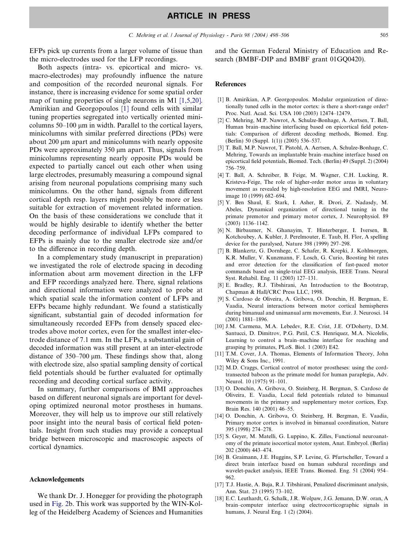<span id="page-7-0"></span>EFPs pick up currents from a larger volume of tissue than the micro-electrodes used for the LFP recordings.

Both aspects (intra- vs. epicortical and micro- vs. macro-electrodes) may profoundly influence the nature and composition of the recorded neuronal signals. For instance, there is increasing evidence for some spatial order map of tuning properties of single neurons in M1 [1,5,20]. Amirikian and Georgopoulos [1] found cells with similar tuning properties segregated into vertically oriented minicolumns 50–100 um in width. Parallel to the cortical layers, minicolumns with similar preferred directions (PDs) were about  $200 \mu m$  apart and minicolumns with nearly opposite PDs were approximately  $350 \mu m$  apart. Thus, signals from minicolumns representing nearly opposite PDs would be expected to partially cancel out each other when using large electrodes, presumably measuring a compound signal arising from neuronal populations comprising many such minicolumns. On the other hand, signals from different cortical depth resp. layers might possibly be more or less suitable for extraction of movement related information. On the basis of these considerations we conclude that it would be highly desirable to identify whether the better decoding performance of individual LFPs compared to EFPs is mainly due to the smaller electrode size and/or to the difference in recording depth.

In a complementary study (manuscript in preparation) we investigated the role of electrode spacing in decoding information about arm movement direction in the LFP and EFP recordings analyzed here. There, signal relations and directional information were analyzed to probe at which spatial scale the information content of LFPs and EFPs became highly redundant. We found a statistically significant, substantial gain of decoded information for simultaneously recorded EFPs from densely spaced electrodes above motor cortex, even for the smallest inter-electrode distance of 7.1 mm. In the LFPs, a substantial gain of decoded information was still present at an inter-electrode distance of  $350-700 \mu m$ . These findings show that, along with electrode size, also spatial sampling density of cortical field potentials should be further evaluated for optimally recording and decoding cortical surface activity.

In summary, further comparisons of BMI approaches based on different neuronal signals are important for developing optimized neuronal motor prostheses in humans. Moreover, they will help us to improve our still relatively poor insight into the neural basis of cortical field potentials. Insight from such studies may provide a conceptual bridge between microscopic and macroscopic aspects of cortical dynamics.

#### Acknowledgements

We thank Dr. J. Honegger for providing the photograph used in [Fig. 2](#page-2-0)b. This work was supported by the WIN-Kolleg of the Heidelberg Academy of Sciences and Humanities and the German Federal Ministry of Education and Research (BMBF-DIP and BMBF grant 01GQ0420).

# References

- [1] B. Amirikian, A.P. Georgopoulos. Modular organization of directionally tuned cells in the motor cortex: is there a short-range order? Proc. Natl. Acad. Sci. USA 100 (2003) 12474–12479.
- [2] C. Mehring, M.P. Nawrot, A. Schulze-Bonhage, A. Aertsen, T. Ball, Human brain–machine interfacing based on epicortical field potentials: Comparison of different decoding methods, Biomed. Eng. (Berlin) 50 (Suppl. 1(1)) (2005) 536–537.
- [3] T. Ball, M.P. Nawrot, T. Pistohl, A. Aertsen, A. Schulze-Bonhage, C. Mehring, Towards an implantable brain–machine interface based on epicortical field potentials, Biomed. Tech. (Berlin) 49 (Suppl. 2) (2004) 756–759.
- [4] T. Ball, A. Schreiber, B. Feige, M. Wagner, C.H. Lucking, R. Kristeva-Feige, The role of higher-order motor areas in voluntary movement as revealed by high-resolution EEG and fMRI, Neuroimage 10 (1999) 682–694.
- [5] Y. Ben Shaul, E. Stark, I. Asher, R. Drori, Z. Nadasdy, M. Abeles, Dynamical organization of directional tuning in the primate premotor and primary motor cortex, J. Neurophysiol. 89 (2003) 1136–1142.
- [6] N. Birbaumer, N. Ghanayim, T. Hinterberger, I. Iversen, B. Kotchoubey, A. Kubler, J. Perelmouter, E. Taub, H. Flor, A spelling device for the paralysed, Nature 398 (1999) 297–298.
- [7] B. Blankertz, G. Dornhege, C. Schafer, R. Krepki, J. Kohlmorgen, K.R. Muller, V. Kunzmann, F. Losch, G. Curio, Boosting bit rates and error detection for the classification of fast-paced motor commands based on single-trial EEG analysis, IEEE Trans. Neural Syst. Rehabil. Eng. 11 (2003) 127–131.
- [8] E. Bradley, R.J. Tibshirani, An Introduction to the Bootstrap, Chapman & Hall/CRC Press LLC, 1998.
- [9] S. Cardoso de Oliveira, A. Gribova, O. Donchin, H. Bergman, E. Vaadia, Neural interactions between motor cortical hemispheres during bimanual and unimanual arm movements, Eur. J. Neurosci. 14 (2001) 1881–1896.
- [10] J.M. Carmena, M.A. Lebedev, R.E. Crist, J.E. O'Doherty, D.M. Santucci, D. Dimitrov, P.G. Patil, C.S. Henriquez, M.A. Nicolelis, Learning to control a brain–machine interface for reaching and grasping by primates, PLoS. Biol. 1 (2003) E42.
- [11] T.M. Cover, J.A. Thomas, Elements of Information Theory, John Wiley & Sons Inc., 1991.
- [12] M.D. Craggs, Cortical control of motor prostheses: using the cordtransected baboon as the primate model for human paraplegia, Adv. Neurol. 10 (1975) 91–101.
- [13] O. Donchin, A. Gribova, O. Steinberg, H. Bergman, S. Cardoso de Oliveira, E. Vaadia, Local field potentials related to bimanual movements in the primary and supplementary motor cortices, Exp. Brain Res. 140 (2001) 46–55.
- [14] O. Donchin, A. Gribova, O. Steinberg, H. Bergman, E. Vaadia, Primary motor cortex is involved in bimanual coordination, Nature 395 (1998) 274–278.
- [15] S. Geyer, M. Matelli, G. Luppino, K. Zilles, Functional neuroanatomy of the primate isocortical motor system, Anat. Embryol. (Berlin) 202 (2000) 443–474.
- [16] B. Graimann, J.E. Huggins, S.P. Levine, G. Pfurtscheller, Toward a direct brain interface based on human subdural recordings and wavelet-packet analysis, IEEE Trans. Biomed. Eng. 51 (2004) 954– 962.
- [17] T.J. Hastie, A. Buja, R.J. Tibshirani, Penalized discriminant analysis, Ann. Stat. 23 (1995) 73–102.
- [18] E.C. Leuthardt, G. Schalk, J.R. Wolpaw, J.G. Jemann, D.W. oran, A brain–computer interface using electrocorticographic signals in humans, J. Neural Eng. 1 (2) (2004).